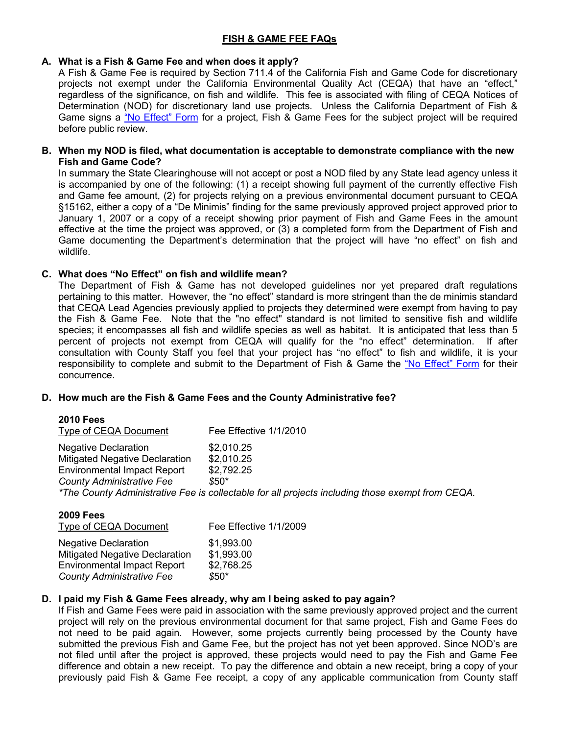# **FISH & GAME FEE FAQs**

# **A. What is a Fish & Game Fee and when does it apply?**

A Fish & Game Fee is required by Section 711.4 of the California Fish and Game Code for discretionary projects not exempt under the California Environmental Quality Act (CEQA) that have an "effect," regardless of the significance, on fish and wildlife. This fee is associated with filing of CEQA Notices of Determination (NOD) for discretionary land use projects. Unless the California Department of Fish & Game signs a "No Effect" Form for a project, Fish & Game Fees for the subject project will be required before public review.

### **B. When my NOD is filed, what documentation is acceptable to demonstrate compliance with the new Fish and Game Code?**

In summary the State Clearinghouse will not accept or post a NOD filed by any State lead agency unless it is accompanied by one of the following: (1) a receipt showing full payment of the currently effective Fish and Game fee amount, (2) for projects relying on a previous environmental document pursuant to CEQA §15162, either a copy of a "De Minimis" finding for the same previously approved project approved prior to January 1, 2007 or a copy of a receipt showing prior payment of Fish and Game Fees in the amount effective at the time the project was approved, or (3) a completed form from the Department of Fish and Game documenting the Department's determination that the project will have "no effect" on fish and wildlife.

# **C. What does "No Effect" on fish and wildlife mean?**

The Department of Fish & Game has not developed guidelines nor yet prepared draft regulations pertaining to this matter. However, the "no effect" standard is more stringent than the de minimis standard that CEQA Lead Agencies previously applied to projects they determined were exempt from having to pay the Fish & Game Fee. Note that the "no effect" standard is not limited to sensitive fish and wildlife species; it encompasses all fish and wildlife species as well as habitat. It is anticipated that less than 5 percent of projects not exempt from CEQA will qualify for the "no effect" determination. If after consultation with County Staff you feel that your project has "no effect" to fish and wildlife, it is your responsibility to complete and submit to the Department of Fish & Game the "No Effect" Form for their concurrence.

### **D. How much are the Fish & Game Fees and the County Administrative fee?**

| Fee Effective 1/1/2010                                                                           |
|--------------------------------------------------------------------------------------------------|
| *The County Administrative Fee is collectable for all projects including those exempt from CEQA. |
|                                                                                                  |

### **2009 Fees**

| Fee Effective 1/1/2009 |
|------------------------|
| \$1,993.00             |
| \$1,993.00             |
| \$2,768.25             |
| $$50*$                 |
|                        |

### **D. I paid my Fish & Game Fees already, why am I being asked to pay again?**

If Fish and Game Fees were paid in association with the same previously approved project and the current project will rely on the previous environmental document for that same project, Fish and Game Fees do not need to be paid again. However, some projects currently being processed by the County have submitted the previous Fish and Game Fee, but the project has not yet been approved. Since NOD's are not filed until after the project is approved, these projects would need to pay the Fish and Game Fee difference and obtain a new receipt. To pay the difference and obtain a new receipt, bring a copy of your previously paid Fish & Game Fee receipt, a copy of any applicable communication from County staff